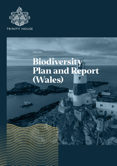

JUNE 2021

# **Biodiversity Plan and Report (Wales)**

H

 $\sqcap$ 

iii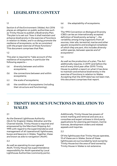## **1 LEGISLATIVE CONTEXT**

#### 1.1

Section 6 of the Environment (Wales) Act 2016 places an obligation on public authorities such as Trinity House to publish a Biodiversity Plan. The plan is to set out "*how it shall maintain and enhance biodiversity in the exercise of functions in relation to Wales, and in so doing promote the resilience of ecosystems, so far as consistent with the proper exercise of those functions*." This document comprises that Plan.

#### 1.2

This plan is required to "take account of the resilience of ecosystems, in particular the following aspects—

- (a) diversity between and within ecosystems;
- (b) the connections between and within ecosystems;
- (c) the scale of ecosystems;
- (d) the condition of ecosystems (including their structure and functioning);

(e) the adaptability of ecosystems.

#### 1.3

The 1992 Convention on Biological Diversity (CBD) carries an internationally accepted definition of biodiversity as being "… *the variability among living organisms from all sources, inter alia, terrestrial, marine and other aquatic ecosystems and ecological complexes of which they are part, this includes diversity within species, between species and of ecosystems*".

#### 1.4

As well as the production of a plan, The Act additionally requires, in 2019 (and before the end of every third year after 2019) Trinity House to publish a report on what it has done to maintain and enhance biodiversity in the exercise of functions in relation to Wales. Accepting that the 2019 date has not been met, this document comprises that report.

## **2 TRINITY HOUSE'S FUNCTIONS IN RELATION TO WALES**

#### 2.1

As the General Lighthouse Authority (GLA) for England, Wales, Gibraltar and the Channel Islands, Trinity House is required and empowered by the Merchant Shipping Act 1995 with regard to the superintendence and management of all (operational) lighthouses, buoys and beacons in Wales. Together, these are known as aids to navigation (AtoN).

#### 2.2

As well as operating its own general AtoN, Trinity House has superintendence responsibility for AtoN operated by Local Lighthouse Authorities (commonly ports).

Additionally, Trinity House has powers of wreck-marking and removal and acts as a consultee and expert witness in third party applications for planning permission, marine licences, development orders and related appeals and inquiries.

#### 2.2

Of the lighthouses that Trinity House operates, 15 of these are in Wales. Some of these lighthouses are surrounded by land owned by Trinity House but the area of land owned by Trinity House in Wales is not extensive.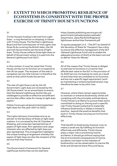## **3 EXTENT TO WHICH PROMOTING RESILIENCE OF ECOSYSTEMS IS CONSISTENT WITH THE PROPER EXERCISE OF TRINITY HOUSE'S FUNCTIONS**

#### 3.1

Trinity House's funding is derived from Light Dues – a ring-fenced tax on shipping. In liaison with Trinity House, The Northern Lighthouse Board and the Commissioner of Irish Lights (the three GLAs covering the British Isles), the UK and Irish Governments set the level of lightdues. Trinity House collects those light dues on behalf of Government where it is paid into the General Lighthouse Fund (GLF).

#### 3.2

In this context, it must be noted that Trinity House carries out its function at no expense to the UK tax payer. The recipient of the aids to navigation service (the mariner) is therefore the same at that which funds the service.

#### 3.3

The rate of Light Dues is set by the UK Government. Light dues are reviewed by the UK Government "*on an annual basis to ensure that the General Lighthouse Authorities are challenged to provide an effective and efficient service that offers value for money to light dues payers.*"

(https://www.gov.uk/government/speeches/ light-dues-for-the-year-2021-to-2022).

#### 3.4

The Lights Advisory Committee acts as an advisor to the Secretary of State on light dues matters. It is convened by the UK Chamber of Shipping, and comprises representatives of payers of light dues. Port operators and cargo interests who are affected by light dues are also represented. The arrangement highlights the unique funding arrangement whereby the payers of light dues are also the recipient of the service that they finance.

#### 3.5

The Government's Framework for General Lighthouse Authorities can be read here:

https://assets.publishing.service.gov.uk/ government/uploads/system/uploads/ attachment\_data/file/622239/generallighthouse-authorities-framework.pdf

To quote paragraph 2.1.4, "*The DfT (on behalf of the Secretary of State for Transport) has a duty to ensure the effective management of the GLF (General Lighthouse Fund) and to enable the adequate provision of AtoN at the least cost and to deliver Value for Money*"

#### 3.6

All of this means that Trinity House is obliged to exercise its functions in a manner that affords best value to the GLF in the provision of its AtoN service. Increasing its costs as a result of activities that are unrelated to its functions and are not a specific legal requirement (such as maintaining or enhancing biodiversity) may therefore be seen to be *ultra vires*.

#### 3.7

However, where there remain opportunities to maintain or enhance biodiversity whilst still complying with the principles outlined above, Trinity House is at liberty to pursue these and is committed to doing so. Having such a specific role Trinity House's potential to materially influence biodiversity in Wales is limited in practice - beyond the positive benefits that exist in Trinity House carrying out its function effectively.

#### 3.8

That benefit to biodiversity however is by no means a small one. By fulfilling its function effectively and efficiently, Trinity House plays a major role in preventing marine accidents. It should go without saying that the environmental consequences of marine accidents (not least to the interests of biodiversity) can be catastrophic to marine life, birds and terrestrial shore flora and fauna.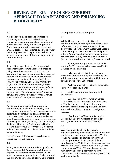## **4 REVIEW OF TRINITY HOUSE'S CURRENT APPROACH TO MAINTAINING AND ENHANCING BIODIVERSITY**

#### 4.1

It is challenging and perhaps fruitless to disentangle an approach to biodiversity from other environmental plans, policies and initiatives that Trinity House is engaged in. Ongoing attempts (for example) to reduce CO<sub>2</sub> emissions, reduce plastic, paper and water use all improve the prospects for pollutionsensitive species and global warming - and so for biodiversity.

#### 4.2

Trinity House works to an Environmental Management System that is certificated as being in conformance with the ISO 14001 standard. This international standard requires organisations to establish an environmental management system, the aim of which is "*to provide organizations with a framework to protect the environment and respond to changing environmental conditions in balance with socio-economic needs. It specifies requirements that enable an organization to achieve the intended outcomes it sets for its environmental management system*".

#### 4.3

Key to compliance with the standard is maintaining an Environmental Policy that provides a framework for setting environmental objectives and includes a commitment to the protection of the environment, and other specific commitment(s) relevant to the context of the organisation (including climate change). At Trinity House, the Environmental Policy (Health & Safety & Environmental Objectives Policy) is reviewed annually and is available for download here;

https://www.trinityhouse.co.uk/about-us/ media-centre/publications

#### 4.4

Trinity House's Environmental Policy informs its Environmental Plan (Aspects & Impacts Register & Corporate Environmental Plan) which is reviewed quarterly. An Environmental Working Group meets quarterly and monitors

the implementation of that plan.

#### 4.5

Whilst the very specific objective of maintaining and enhancing biodiversity is not referenced in any of these elements of the Trinity House Management System, it has long been an integral part of how we work. Specific actions / initiatives that work to maintain and enhance biodiversity that have come out of it (some completed, some ongoing) have included:

Management agreements with NRW and the RSPB to manage the designated SSSI/ SPA site on The Skerries;

In liaison with NRW, to work to an agreed method of mowing and scarifying the wildflower meadow at Nash Point Lighthouse to the benefit of the SSSI there;

Collaboration with partners such as the RSPB on biosecurity plans;

Staff Environmental Training and Roadshows;

- Work with NRW towards an across-Wales SSSI assent covering all routine works at Trinity House terrestrial stations, and allowing Trinity House to plan works to times and methods of least impact on designated features;

Membership of Relevant Authority Groups such as the Association of Severn Estuary Relevant Authorities (ASERA).

#### 4.6

With the majority of Trinity House's lighthouses being positioned in sites of national and international habitat designation, Trinity House has various obligations in carrying out its operations. Under the Wildlife and Countryside Act 1981, Trinity House is a Section 28G Authority and so must have due regard to the interests of SSSIs. Where planned works fall within the list of 'potentially harmful operations', Trinity House must notify NRW and seek their assent.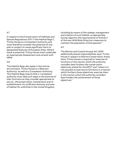#### 4.7

In respect to the Conservation of Habitats and Species Regulations 2017 ("the Habitat Regs"), Trinity House is a Competent Authority and must therefore consider the potential of any plan or project to cause significant harm to designated features of European Sites. Where there is potential, Trinity House must undertake an Appropriate Assessment and consult with NRW.

#### 4.8

The Habitat Regs also apply in the marine environment. Trinity House is a 'Relevant Authority' as well as a Competent Authority. The Habitat Regs require that a "*competent authority must take such steps in the exercise of their functions as they consider appropriate to secure …the preservation, maintenance and reestablishment of a sufficient diversity and area of habitat for wild birds in the United Kingdom,* 

*including by means of the upkeep, management and creation of such habitat, as appropriate, having regard to the requirements of Article 2 of the new Wild Birds Directive (measures to maintain the population of bird species)"*

#### 4.9

The Marine and Coastal Access Act 2009 additionally places responsibilities upon Trinity House in respect to Marine Conservation Areas. Here, Trinity House is required to "*exercise its functions in the manner which the authority considers best furthers the conservation objectives stated for the MCZ*" and "*where it is not possible to exercise its functions in a manner which furthers those objectives, exercise them in the manner which the authority considers least hinders the achievement of those objectives*."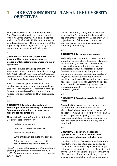## **5 THE ENVIRONMENTAL PLAN AND BIODIVERSITY OBJECTIVES**

Trinity House considers that its Biodiversity Plan Objectives for Wales are incorporated within its Environmental Plan. The objectives within the (draft) 2021-22 Plan are summarised as follows, together with a brief analysis of the applicability of each objective to the goal of maintaining and enhancing biodiversity

#### 5.1

#### **OBJECTIVE 1: Follow UK Government sustainability regulations and support Governmental sustainability ambitions in our operations**

One of the drivers of the Department for Transport's Operational Sustainability Strategy 2021-2025 is the United Nations 2030 Agenda for Sustainable Development which includes 17 UN Sustainable Development Goals.

Sustainable Development Goal 15 is devoted to "protect, restore and promote sustainable use of terrestrial ecosystems, sustainably manage forests, combat desertification, and halt and reverse land degradation and halt biodiversity loss".

5.2

#### **OBJECTIVE 2: To establish a system of reporting in line with Greening Government Commitments including the reporting on greenhouse gas emissions**

Through its Greening Commitment, the UK Government is committed to;

- Reduce its emissions
- Improve its waste management
- Reduce its water use
- Buying 'greener' products and services
- Being open and transparent (with specific reference to biodiversity)

https://www.gov.uk/government/publications/ greening-government-commitments-2016 to-2020/greening-government-commitments-2016-to-2020

Under Objective 2, Trinity House will report as part of the Department for Transport's departmental reporting and will share in DfT's objectives. All of the above commitments contribute positively to maintaining and enhancing biodiversity.

5.3

#### **OBJECTIVE 3: To reduce paper usage**

Reduced paper consumption means reduced impact on forests where the potential impact on biodiversity is fairly clear. Additionally however there are indirect impacts upon biodiversity through associated pollution / emissions emissions resulting from the transport, ink production and supply, refuse/ recycling systems, photocopy & printer machinery and so on. The resulting greenhouse gases are linked to global warming and so sea level rises with a devastating impact upon biodiversity globally – not least in sensitive coral reef systems.

5.4

#### **OBJECTIVE 4: To reduce avoidable plastic waste**

Any reduction in plastics use can help reduce the amount of microplastics in the sea. Microplastics have been shown to be harmful to ecosystems and so biodiversity. Additionally, as with paper, reducing single use plastics may reduce pollution/ emissions, some of the consequences of which have already been described.

5.5

#### **OBJECTIVE 5: To review and look for opportunities to reduce the emissions compositions of our pool vehicles fleet**

Localised pollution from vehicle emissions are harmful to more sensitive species and so to the interests of biodiversity. In a wider range, pollution levels impacts the type of species that thrive – very noticeable for example in the type of lichen that is found in the vicinity of more urban areas. On a global level, the greenhouse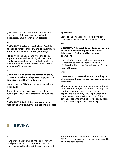gases emitted contribute towards sea level rise – some of the consequence of which for biodiversity have already been described

5.6

#### **OBJECTIVE 6: Where practical and feasible, to seek to remove mercury and to investigate viable alternatives to mercury bearings**

Mercury is used as a bearing for the optical apparatus in some historic lighthouses. It is highly toxic and does not readily degrade. It is harmful to ecosystems and therefore to the interests of biodiversity.

5.7

#### **OBJECTIVE 7: To conduct a feasibility study to look into a shore side power supply for the new vessel and the THV** *Galatea*

Noted that the THV *Alert* already uses shore side power.

Some of the impacts on biodiversity from burning fossil fuel have already been outlined.

5.8

**OBJECTIVE 8: To look for opportunities to reduce the environmental impact of helicopter** 

#### **operations**

Some of the impacts on biodiversity from burning fossil fuel have already been outlined.

5.9

#### **OBJECTIVE 9: To work towards identification of reduction of risk opportunities in all lighthouse refueling and fuel storage operations**

Fuel leaks/accidents can be very damaging – especially to marine ecosystems and biodiversity. This objective will seek to further reduce that risk.

#### 5.10

#### **OBJECTIVE 10: To consider sustainability in all aspects of Improved Ways of Working post pandemic**

Changed ways of working has the potential to reduce travel time, office power consumption, and the consumption of resources such as paper. This in turn may reduce pollution and Greenhouse Gas emissions – some of the potential benefits of which have already been outlined with respect to biodiversity.

## **6 REVIEW**

6.1

Plans are to be reviewed by the end of every third year after 2019. This means that the next review will be due in 2022. As the current

Environmental Plan runs until the end of March 2022, the objectives outlined in section 5 will be reviewed at that time.